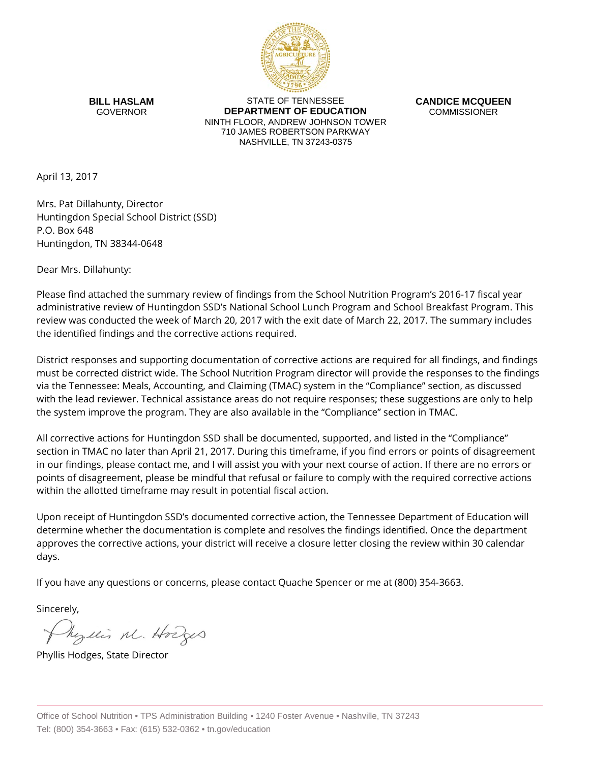

**BILL HASLAM** GOVERNOR

STATE OF TENNESSEE **DEPARTMENT OF EDUCATION** NINTH FLOOR, ANDREW JOHNSON TOWER 710 JAMES ROBERTSON PARKWAY NASHVILLE, TN 37243-0375

**CANDICE MCQUEEN** COMMISSIONER

April 13, 2017

Mrs. Pat Dillahunty, Director Huntingdon Special School District (SSD) P.O. Box 648 Huntingdon, TN 38344-0648

Dear Mrs. Dillahunty:

Please find attached the summary review of findings from the School Nutrition Program's 2016-17 fiscal year administrative review of Huntingdon SSD's National School Lunch Program and School Breakfast Program. This review was conducted the week of March 20, 2017 with the exit date of March 22, 2017. The summary includes the identified findings and the corrective actions required.

District responses and supporting documentation of corrective actions are required for all findings, and findings must be corrected district wide. The School Nutrition Program director will provide the responses to the findings via the Tennessee: Meals, Accounting, and Claiming (TMAC) system in the "Compliance" section, as discussed with the lead reviewer. Technical assistance areas do not require responses; these suggestions are only to help the system improve the program. They are also available in the "Compliance" section in TMAC.

All corrective actions for Huntingdon SSD shall be documented, supported, and listed in the "Compliance" section in TMAC no later than April 21, 2017. During this timeframe, if you find errors or points of disagreement in our findings, please contact me, and I will assist you with your next course of action. If there are no errors or points of disagreement, please be mindful that refusal or failure to comply with the required corrective actions within the allotted timeframe may result in potential fiscal action.

Upon receipt of Huntingdon SSD's documented corrective action, the Tennessee Department of Education will determine whether the documentation is complete and resolves the findings identified. Once the department approves the corrective actions, your district will receive a closure letter closing the review within 30 calendar days.

If you have any questions or concerns, please contact Quache Spencer or me at (800) 354-3663.

Sincerely,

Myllis M. Hodges

Phyllis Hodges, State Director